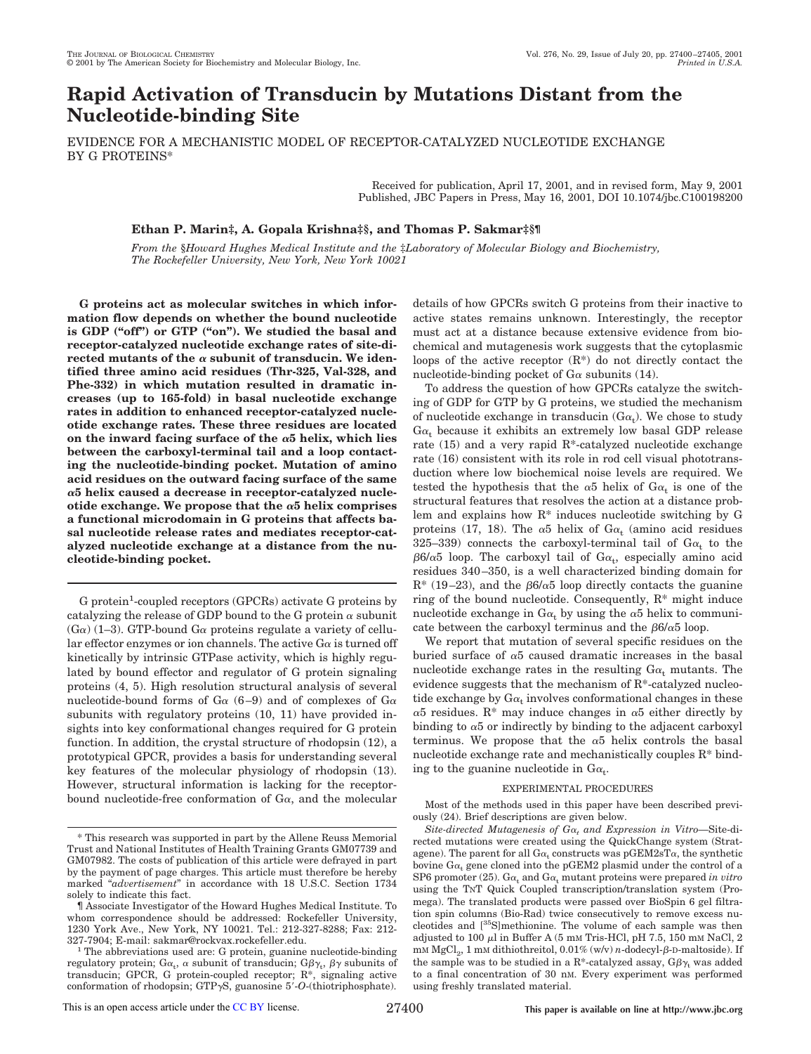# **Rapid Activation of Transducin by Mutations Distant from the Nucleotide-binding Site**

EVIDENCE FOR A MECHANISTIC MODEL OF RECEPTOR-CATALYZED NUCLEOTIDE EXCHANGE BY G PROTEINS\*

> Received for publication, April 17, 2001, and in revised form, May 9, 2001 Published, JBC Papers in Press, May 16, 2001, DOI 10.1074/jbc.C100198200

# **Ethan P. Marin‡, A. Gopala Krishna‡§, and Thomas P. Sakmar‡§¶**

*From the* §*Howard Hughes Medical Institute and the* ‡*Laboratory of Molecular Biology and Biochemistry, The Rockefeller University, New York, New York 10021*

**G proteins act as molecular switches in which information flow depends on whether the bound nucleotide is GDP ("off") or GTP ("on"). We studied the basal and receptor-catalyzed nucleotide exchange rates of site-di**rected mutants of the  $\alpha$  subunit of transducin. We iden**tified three amino acid residues (Thr-325, Val-328, and Phe-332) in which mutation resulted in dramatic increases (up to 165-fold) in basal nucleotide exchange rates in addition to enhanced receptor-catalyzed nucleotide exchange rates. These three residues are located on the inward facing surface of the** <sup>a</sup>**5 helix, which lies between the carboxyl-terminal tail and a loop contacting the nucleotide-binding pocket. Mutation of amino acid residues on the outward facing surface of the same** a**5 helix caused a decrease in receptor-catalyzed nucleotide exchange. We propose that the** <sup>a</sup>**5 helix comprises a functional microdomain in G proteins that affects basal nucleotide release rates and mediates receptor-catalyzed nucleotide exchange at a distance from the nucleotide-binding pocket.**

G protein<sup>1</sup>-coupled receptors (GPCRs) activate G proteins by catalyzing the release of GDP bound to the G protein  $\alpha$  subunit  $(G\alpha)$  (1–3). GTP-bound  $G\alpha$  proteins regulate a variety of cellular effector enzymes or ion channels. The active  $G\alpha$  is turned off kinetically by intrinsic GTPase activity, which is highly regulated by bound effector and regulator of G protein signaling proteins (4, 5). High resolution structural analysis of several nucleotide-bound forms of G $\alpha$  (6–9) and of complexes of G $\alpha$ subunits with regulatory proteins (10, 11) have provided insights into key conformational changes required for G protein function. In addition, the crystal structure of rhodopsin (12), a prototypical GPCR, provides a basis for understanding several key features of the molecular physiology of rhodopsin (13). However, structural information is lacking for the receptorbound nucleotide-free conformation of  $Ga$ , and the molecular

details of how GPCRs switch G proteins from their inactive to active states remains unknown. Interestingly, the receptor must act at a distance because extensive evidence from biochemical and mutagenesis work suggests that the cytoplasmic loops of the active receptor (R\*) do not directly contact the nucleotide-binding pocket of  $G\alpha$  subunits (14).

To address the question of how GPCRs catalyze the switching of GDP for GTP by G proteins, we studied the mechanism of nucleotide exchange in transducin  $(G\alpha_t)$ . We chose to study  $Ga<sub>t</sub>$  because it exhibits an extremely low basal GDP release rate  $(15)$  and a very rapid R<sup>\*</sup>-catalyzed nucleotide exchange rate (16) consistent with its role in rod cell visual phototransduction where low biochemical noise levels are required. We tested the hypothesis that the  $\alpha$ 5 helix of  $Ga_t$  is one of the structural features that resolves the action at a distance problem and explains how R\* induces nucleotide switching by G proteins (17, 18). The  $\alpha$ 5 helix of G $\alpha$ <sub>t</sub> (amino acid residues 325–339) connects the carboxyl-terminal tail of  $Ga_t$  to the  $\beta$ 6/ $\alpha$ 5 loop. The carboxyl tail of G $\alpha$ <sub>t</sub>, especially amino acid residues 340–350, is a well characterized binding domain for  $R^*$  (19–23), and the  $\beta 6/\alpha 5$  loop directly contacts the guanine ring of the bound nucleotide. Consequently, R\* might induce nucleotide exchange in  $Ga<sub>t</sub>$  by using the  $\alpha$ 5 helix to communicate between the carboxyl terminus and the  $\beta 6/\alpha 5$  loop.

We report that mutation of several specific residues on the buried surface of  $\alpha$ 5 caused dramatic increases in the basal nucleotide exchange rates in the resulting  $G\alpha_t$  mutants. The evidence suggests that the mechanism of R\*-catalyzed nucleotide exchange by  $G\alpha_t$  involves conformational changes in these  $\alpha$ 5 residues. R<sup>\*</sup> may induce changes in  $\alpha$ 5 either directly by binding to  $\alpha$ 5 or indirectly by binding to the adjacent carboxyl terminus. We propose that the  $\alpha$ 5 helix controls the basal nucleotide exchange rate and mechanistically couples R\* binding to the guanine nucleotide in  $Ga_t$ .

## EXPERIMENTAL PROCEDURES

Most of the methods used in this paper have been described previously (24). Brief descriptions are given below.

<sup>\*</sup> This research was supported in part by the Allene Reuss Memorial Trust and National Institutes of Health Training Grants GM07739 and GM07982. The costs of publication of this article were defrayed in part by the payment of page charges. This article must therefore be hereby marked "*advertisement*" in accordance with 18 U.S.C. Section 1734 solely to indicate this fact.

<sup>¶</sup> Associate Investigator of the Howard Hughes Medical Institute. To whom correspondence should be addressed: Rockefeller University, 1230 York Ave., New York, NY 10021. Tel.: 212-327-8288; Fax: 212- 327-7904; E-mail: sakmar@rockvax.rockefeller.edu.

 $1$ <sup>1</sup> The abbreviations used are: G protein, guanine nucleotide-binding regulatory protein;  $G\alpha_t$ ,  $\alpha$  subunit of transducin;  $G\beta\gamma_t$ ,  $\beta\gamma$  subunits of transducin; GPCR, G protein-coupled receptor;  $\mathbb{R}^*$ , signaling active conformation of rhodopsin; GTP<sub>Y</sub>S, guanosine 5'-O-(thiotriphosphate).

*Site-directed Mutagenesis of G*<sup>a</sup>*<sup>t</sup> and Expression in Vitro—*Site-directed mutations were created using the QuickChange system (Stratagene). The parent for all  ${\rm G}\alpha_{\rm t}$  constructs was p ${\rm GEM}2$ s ${\rm T}\alpha,$  the synthetic bovine  $G_{\alpha}$  gene cloned into the pGEM2 plasmid under the control of a SP6 promoter (25).  $G\alpha_t$  and  $G\alpha_t$  mutant proteins were prepared *in vitro* using the TNT Quick Coupled transcription/translation system (Promega). The translated products were passed over BioSpin 6 gel filtration spin columns (Bio-Rad) twice consecutively to remove excess nucleotides and [35S]methionine. The volume of each sample was then adjusted to 100  $\mu$ l in Buffer A (5 mM Tris-HCl, pH 7.5, 150 mM NaCl, 2  $\text{mm MgCl}_2$ , 1 mm dithiothreitol, 0.01% (w/v) *n*-dodecyl-β-D-maltoside). If the sample was to be studied in a R<sup>\*</sup>-catalyzed assay,  $G\beta\gamma$ , was added to a final concentration of 30 nM. Every experiment was performed using freshly translated material.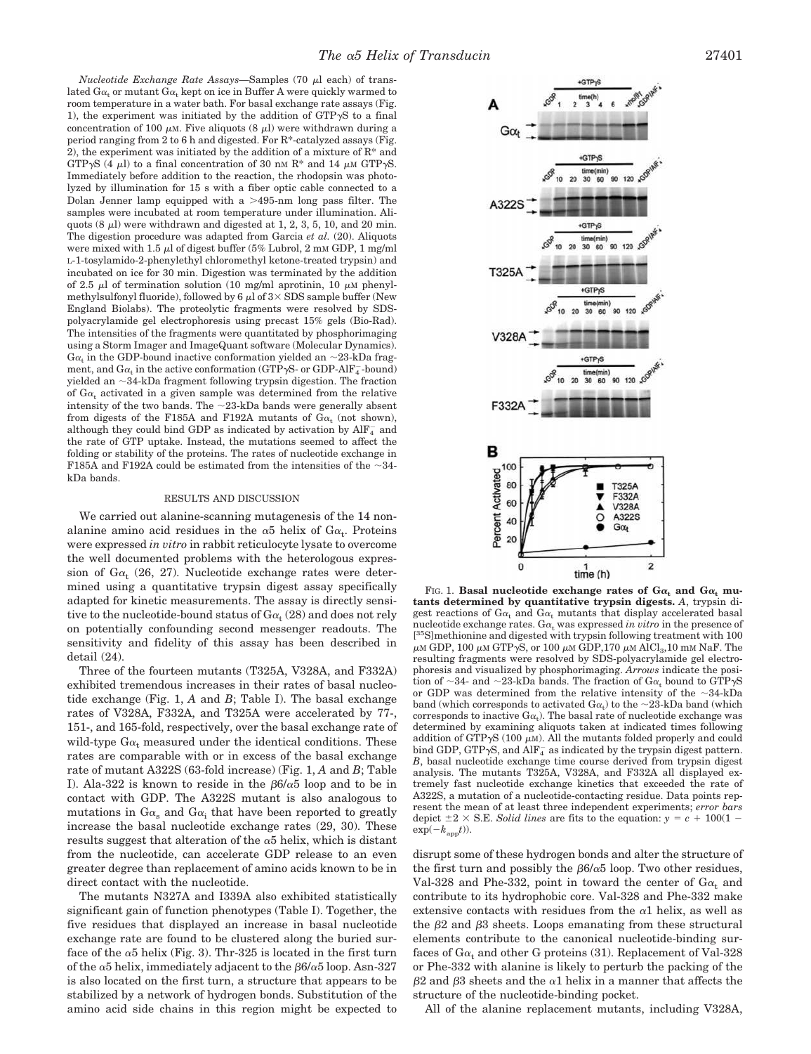*Nucleotide Exchange Rate Assays*—Samples (70 µl each) of translated G $\alpha_{\rm t}$  or mutant G $\alpha_{\rm t}$  kept on ice in Buffer A were quickly warmed to room temperature in a water bath. For basal exchange rate assays (Fig. 1), the experiment was initiated by the addition of  $GTP\gamma S$  to a final concentration of 100  $\mu$ M. Five aliquots (8  $\mu$ l) were withdrawn during a period ranging from 2 to 6 h and digested. For R\*-catalyzed assays (Fig. 2), the experiment was initiated by the addition of a mixture of  $\mathbb{R}^*$  and GTP $\gamma$ S (4  $\mu$ l) to a final concentration of 30 nM R<sup>\*</sup> and 14  $\mu$ M GTP $\gamma$ S. Immediately before addition to the reaction, the rhodopsin was photolyzed by illumination for 15 s with a fiber optic cable connected to a Dolan Jenner lamp equipped with a  $>495$ -nm long pass filter. The samples were incubated at room temperature under illumination. Aliquots  $(8 \mu l)$  were withdrawn and digested at 1, 2, 3, 5, 10, and 20 min. The digestion procedure was adapted from Garcia *et al.* (20). Aliquots were mixed with 1.5  $\mu$ l of digest buffer (5% Lubrol, 2 mM GDP, 1 mg/ml L-1-tosylamido-2-phenylethyl chloromethyl ketone-treated trypsin) and incubated on ice for 30 min. Digestion was terminated by the addition of 2.5  $\mu$ l of termination solution (10 mg/ml aprotinin, 10  $\mu$ M phenylmethylsulfonyl fluoride), followed by 6  $\mu$ l of 3× SDS sample buffer (New England Biolabs). The proteolytic fragments were resolved by SDSpolyacrylamide gel electrophoresis using precast 15% gels (Bio-Rad). The intensities of the fragments were quantitated by phosphorimaging using a Storm Imager and ImageQuant software (Molecular Dynamics).  $\text{G}\alpha_\text{t}$  in the GDP-bound inactive conformation yielded an  ${\sim}23\text{-}\text{kDa}$  fragment, and  $Ga_t$  in the active conformation (GTP $\gamma$ S- or GDP-AlF<sub>4</sub>-bound) yielded an  $\sim$ 34-kDa fragment following trypsin digestion. The fraction of  $Ga_t$  activated in a given sample was determined from the relative intensity of the two bands. The  ${\sim}23\text{-}\text{kDa}$  bands were generally absent from digests of the F185A and F192A mutants of  $Ga_t$  (not shown), although they could bind GDP as indicated by activation by  $\text{AlF}_{4}^{-}$  and the rate of GTP uptake. Instead, the mutations seemed to affect the folding or stability of the proteins. The rates of nucleotide exchange in F185A and F192A could be estimated from the intensities of the  $\sim$ 34-

### RESULTS AND DISCUSSION

kDa bands.

We carried out alanine-scanning mutagenesis of the 14 nonalanine amino acid residues in the  $\alpha$ 5 helix of G $\alpha$ <sub>t</sub>. Proteins were expressed *in vitro* in rabbit reticulocyte lysate to overcome the well documented problems with the heterologous expression of  $Ga_t$  (26, 27). Nucleotide exchange rates were determined using a quantitative trypsin digest assay specifically adapted for kinetic measurements. The assay is directly sensitive to the nucleotide-bound status of  $\text{G}\alpha_{\text{t}}$  (28) and does not rely on potentially confounding second messenger readouts. The sensitivity and fidelity of this assay has been described in detail (24).

Three of the fourteen mutants (T325A, V328A, and F332A) exhibited tremendous increases in their rates of basal nucleotide exchange (Fig. 1, *A* and *B*; Table I). The basal exchange rates of V328A, F332A, and T325A were accelerated by 77-, 151-, and 165-fold, respectively, over the basal exchange rate of wild-type  $Ga_t$  measured under the identical conditions. These rates are comparable with or in excess of the basal exchange rate of mutant A322S (63-fold increase) (Fig. 1, *A* and *B*; Table I). Ala-322 is known to reside in the  $\beta 6/\alpha 5$  loop and to be in contact with GDP. The A322S mutant is also analogous to mutations in  $Ga_s$  and  $Ga_i$  that have been reported to greatly increase the basal nucleotide exchange rates (29, 30). These results suggest that alteration of the  $\alpha$ 5 helix, which is distant from the nucleotide, can accelerate GDP release to an even greater degree than replacement of amino acids known to be in direct contact with the nucleotide.

The mutants N327A and I339A also exhibited statistically significant gain of function phenotypes (Table I). Together, the five residues that displayed an increase in basal nucleotide exchange rate are found to be clustered along the buried surface of the  $\alpha$ 5 helix (Fig. 3). Thr-325 is located in the first turn of the  $\alpha$ 5 helix, immediately adjacent to the  $\beta$ 6/ $\alpha$ 5 loop. Asn-327 is also located on the first turn, a structure that appears to be stabilized by a network of hydrogen bonds. Substitution of the amino acid side chains in this region might be expected to



FIG. 1. **Basal nucleotide exchange rates of**  $Ga_t$  **and**  $Ga_t$  **mutants determined by quantitative trypsin digests.** *A*, trypsin digest reactions of  $Ga_t$  and  $Ga_t$  mutants that display accelerated basal nucleotide exchange rates.  $G\alpha_t$  was expressed *in vitro* in the presence of [<sup>35</sup>S]methionine and digested with trypsin following treatment with 100  $\mu$ м GDP, 100  $\mu$ м GTP $\gamma$ S, or 100  $\mu$ м GDP,170  $\mu$ м AlCl $_3$ ,10 mм NaF. The resulting fragments were resolved by SDS-polyacrylamide gel electrophoresis and visualized by phosphorimaging. *Arrows* indicate the position of ~34- and ~23-kDa bands. The fraction of  $Ga_t$  bound to GTP $\gamma$ S or GDP was determined from the relative intensity of the  $\sim$ 34-kDa band (which corresponds to activated  $\text{G}\alpha_{\text{t}}$ ) to the  ${\sim}\text{23-kDa}$  band (which corresponds to inactive  $\text{G}\alpha_{\text{t}}$ ). The basal rate of nucleotide exchange was determined by examining aliquots taken at indicated times following addition of GTP $\gamma$ S (100  $\mu$ M). All the mutants folded properly and could bind GDP, GTP $\gamma$ S, and AlF $_4^-$  as indicated by the trypsin digest pattern. *B*, basal nucleotide exchange time course derived from trypsin digest analysis. The mutants T325A, V328A, and F332A all displayed extremely fast nucleotide exchange kinetics that exceeded the rate of A322S, a mutation of a nucleotide-contacting residue. Data points represent the mean of at least three independent experiments; *error bars* depict  $\pm 2 \times$  S.E. *Solid lines* are fits to the equation:  $y = c + 100(1 \exp(-k_{\mathrm{app}}t)$ ).

disrupt some of these hydrogen bonds and alter the structure of the first turn and possibly the  $\beta 6/\alpha 5$  loop. Two other residues, Val-328 and Phe-332, point in toward the center of  $Ga_t$  and contribute to its hydrophobic core. Val-328 and Phe-332 make extensive contacts with residues from the  $\alpha$ 1 helix, as well as the  $\beta$ 2 and  $\beta$ 3 sheets. Loops emanating from these structural elements contribute to the canonical nucleotide-binding surfaces of  $Ga<sub>t</sub>$  and other G proteins (31). Replacement of Val-328 or Phe-332 with alanine is likely to perturb the packing of the  $\beta$ 2 and  $\beta$ 3 sheets and the  $\alpha$ 1 helix in a manner that affects the structure of the nucleotide-binding pocket.

All of the alanine replacement mutants, including V328A,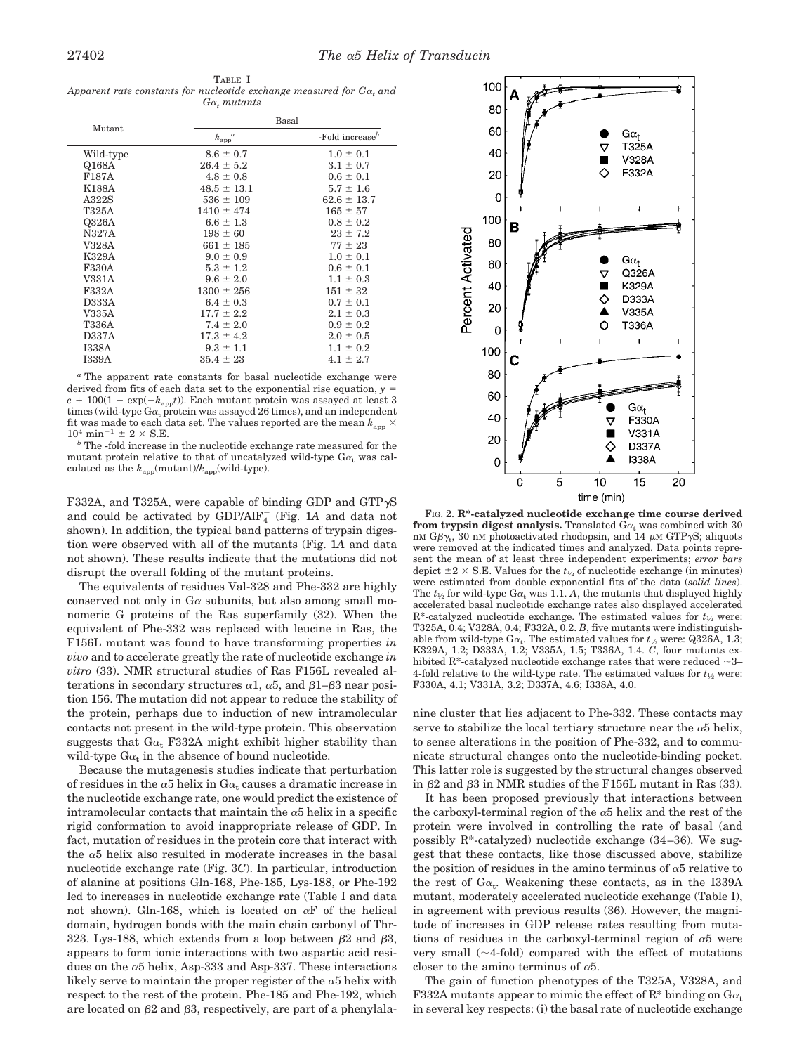| TABLE I                                                                      |  |
|------------------------------------------------------------------------------|--|
| Apparent rate constants for nucleotide exchange measured for $G\alpha$ , and |  |
| $G\alpha$ , mutants                                                          |  |

|              |                                    | Basal                       |
|--------------|------------------------------------|-----------------------------|
| Mutant       | $k_{\mathrm{app}}^{\phantom{00}a}$ | -Fold increase <sup>b</sup> |
| Wild-type    | $8.6 \pm 0.7$                      | $1.0 \pm 0.1$               |
| Q168A        | $26.4 \pm 5.2$                     | $3.1 \pm 0.7$               |
| F187A        | $4.8 \pm 0.8$                      | $0.6 \pm 0.1$               |
| <b>K188A</b> | $48.5 \pm 13.1$                    | $5.7 \pm 1.6$               |
| A322S        | $536 \pm 109$                      | $62.6 \pm 13.7$             |
| <b>T325A</b> | $1410 \pm 474$                     | $165 \pm 57$                |
| Q326A        | $6.6 \pm 1.3$                      | $0.8 \pm 0.2$               |
| N327A        | $198 \pm 60$                       | $23 \pm 7.2$                |
| V328A        | $661 \pm 185$                      | $77 \pm 23$                 |
| K329A        | $9.0 \pm 0.9$                      | $1.0 \pm 0.1$               |
| <b>F330A</b> | $5.3 \pm 1.2$                      | $0.6 \pm 0.1$               |
| V331A        | $9.6 \pm 2.0$                      | $1.1 \pm 0.3$               |
| F332A        | $1300 \pm 256$                     | $151 \pm 32$                |
| D333A        | $6.4 \pm 0.3$                      | $0.7 \pm 0.1$               |
| V335A        | $17.7 \pm 2.2$                     | $2.1 \pm 0.3$               |
| <b>T336A</b> | $7.4 \pm 2.0$                      | $0.9 \pm 0.2$               |
| D337A        | $17.3 \pm 4.2$                     | $2.0 \pm 0.5$               |
| I338A        | $9.3 \pm 1.1$                      | $1.1 \pm 0.2$               |
| I339A        | $35.4 \pm 23$                      | $4.1 \pm 2.7$               |

*<sup>a</sup>* The apparent rate constants for basal nucleotide exchange were derived from fits of each data set to the exponential rise equation, *y* 5  $c + 100(1 - \exp(-k<sub>app</sub>t))$ . Each mutant protein was assayed at least 3 times (wild-type  $Ga_t$  protein was assayed 26 times), and an independent fit was made to each data set. The values reported are the mean  $k_{\text{app}} \times$  $10^4 \text{ min}^{-1} \pm 2 \times \text{S.E.}$ 

The -fold increase in the nucleotide exchange rate measured for the mutant protein relative to that of uncatalyzed wild-type  $Ga_t$  was calculated as the  $k_{\text{app}}(\text{mutant})/k_{\text{app}}(\text{wild-type}).$ 

F332A, and T325A, were capable of binding GDP and  $GTP\gamma S$ and could be activated by  $GDP/AIF_{4}^-$  (Fig. 1A and data not shown). In addition, the typical band patterns of trypsin digestion were observed with all of the mutants (Fig. 1*A* and data not shown). These results indicate that the mutations did not disrupt the overall folding of the mutant proteins.

The equivalents of residues Val-328 and Phe-332 are highly conserved not only in  $G\alpha$  subunits, but also among small monomeric G proteins of the Ras superfamily (32). When the equivalent of Phe-332 was replaced with leucine in Ras, the F156L mutant was found to have transforming properties *in vivo* and to accelerate greatly the rate of nucleotide exchange *in vitro* (33). NMR structural studies of Ras F156L revealed alterations in secondary structures  $\alpha$ 1,  $\alpha$ 5, and  $\beta$ 1– $\beta$ 3 near position 156. The mutation did not appear to reduce the stability of the protein, perhaps due to induction of new intramolecular contacts not present in the wild-type protein. This observation suggests that  $Ga_t$  F332A might exhibit higher stability than wild-type  $G\alpha_t$  in the absence of bound nucleotide.

Because the mutagenesis studies indicate that perturbation of residues in the  $\alpha 5$  helix in  $G\alpha_t$  causes a dramatic increase in the nucleotide exchange rate, one would predict the existence of intramolecular contacts that maintain the  $\alpha$ 5 helix in a specific rigid conformation to avoid inappropriate release of GDP. In fact, mutation of residues in the protein core that interact with the  $\alpha$ 5 helix also resulted in moderate increases in the basal nucleotide exchange rate (Fig. 3*C*). In particular, introduction of alanine at positions Gln-168, Phe-185, Lys-188, or Phe-192 led to increases in nucleotide exchange rate (Table I and data not shown). Gln-168, which is located on  $\alpha$ F of the helical domain, hydrogen bonds with the main chain carbonyl of Thr-323. Lys-188, which extends from a loop between  $\beta$ 2 and  $\beta$ 3, appears to form ionic interactions with two aspartic acid residues on the  $\alpha$ 5 helix, Asp-333 and Asp-337. These interactions likely serve to maintain the proper register of the  $\alpha$ 5 helix with respect to the rest of the protein. Phe-185 and Phe-192, which are located on  $\beta$ 2 and  $\beta$ 3, respectively, are part of a phenylala-



FIG. 2. **R\*-catalyzed nucleotide exchange time course derived from trypsin digest analysis.** Translated  $Ga_t$  was combined with 30 nm G $\beta\gamma_{\rm t}$ , 30 nm photoactivated rhodopsin, and 14  $\mu$ m GTP $\gamma$ S; aliquots were removed at the indicated times and analyzed. Data points represent the mean of at least three independent experiments; *error bars* depict  $\pm 2 \times$  S.E. Values for the  $t_{\frac{1}{2}}$  of nucleotide exchange (in minutes) were estimated from double exponential fits of the data (*solid lines*). The  $t_{\frac{1}{2}}$  for wild-type  $Ga_t$  was 1.1. *A*, the mutants that displayed highly accelerated basal nucleotide exchange rates also displayed accelerated  $R^*$ -catalyzed nucleotide exchange. The estimated values for  $t_{\frac{1}{2}}$  were: T325A, 0.4; V328A, 0.4; F332A, 0.2. *B*, five mutants were indistinguishable from wild-type  $Ga_t$ . The estimated values for  $t_{\frac{1}{2}}$  were: Q326A, 1.3; K329A, 1.2; D333A, 1.2; V335A, 1.5; T336A, 1.4. *C*, four mutants exhibited R\*-catalyzed nucleotide exchange rates that were reduced  $\sim$ 3– 4-fold relative to the wild-type rate. The estimated values for  $t_{\frac{1}{2}}$  were: F330A, 4.1; V331A, 3.2; D337A, 4.6; I338A, 4.0.

nine cluster that lies adjacent to Phe-332. These contacts may serve to stabilize the local tertiary structure near the  $\alpha$ <sup>5</sup> helix, to sense alterations in the position of Phe-332, and to communicate structural changes onto the nucleotide-binding pocket. This latter role is suggested by the structural changes observed in  $\beta$ 2 and  $\beta$ 3 in NMR studies of the F156L mutant in Ras (33).

It has been proposed previously that interactions between the carboxyl-terminal region of the  $\alpha$ 5 helix and the rest of the protein were involved in controlling the rate of basal (and possibly  $R^*$ -catalyzed) nucleotide exchange (34–36). We suggest that these contacts, like those discussed above, stabilize the position of residues in the amino terminus of  $\alpha$ 5 relative to the rest of  $Ga_t$ . Weakening these contacts, as in the I339A mutant, moderately accelerated nucleotide exchange (Table I), in agreement with previous results (36). However, the magnitude of increases in GDP release rates resulting from mutations of residues in the carboxyl-terminal region of  $\alpha$ 5 were very small  $(\sim 4$ -fold) compared with the effect of mutations closer to the amino terminus of  $\alpha$ 5.

The gain of function phenotypes of the T325A, V328A, and F332A mutants appear to mimic the effect of  $R^*$  binding on  $Ga_t$ in several key respects: (i) the basal rate of nucleotide exchange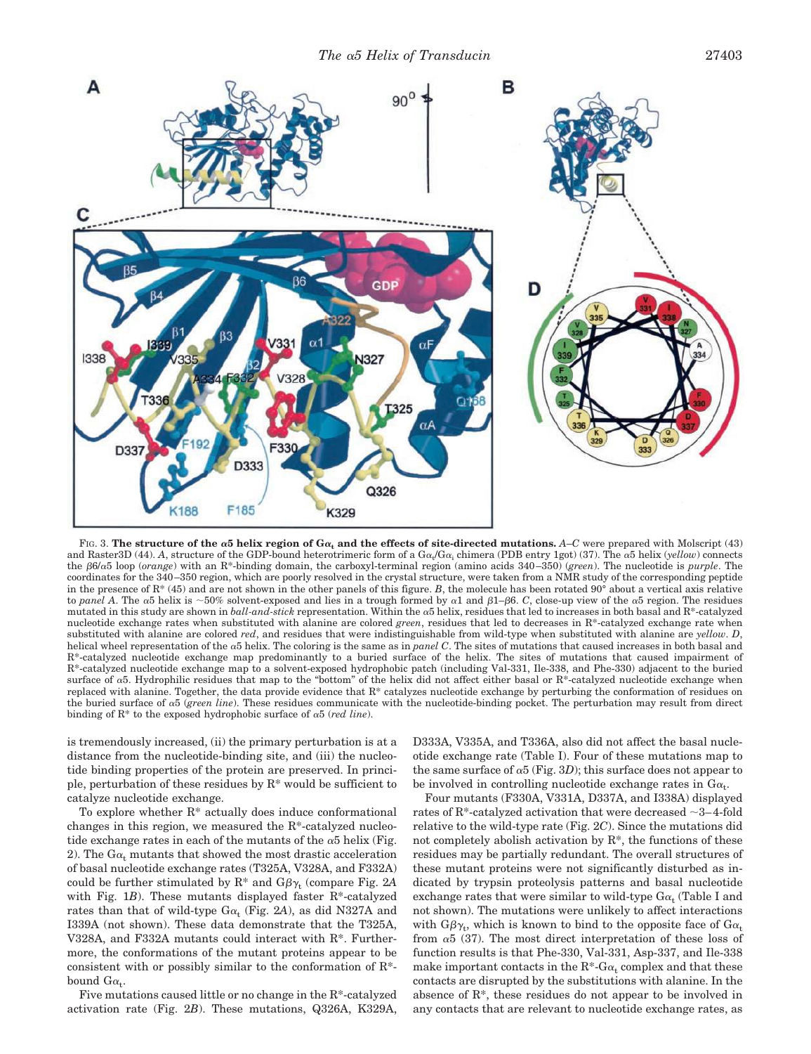

FIG. 3. The structure of the  $\alpha$ 5 helix region of G $\alpha$ <sub>t</sub> and the effects of site-directed mutations. A–*C* were prepared with Molscript (43) and Raster3D (44). A, structure of the GDP-bound heterotrimeric form of a G $\alpha_i$ G $\alpha_i$  chimera (PDB entry 1got) (37). The  $\alpha$ 5 helix (*yellow*) connects the b6/a5 loop (*orange*) with an R\*-binding domain, the carboxyl-terminal region (amino acids 340–350) (*green*). The nucleotide is *purple*. The coordinates for the 340–350 region, which are poorly resolved in the crystal structure, were taken from a NMR study of the corresponding peptide in the presence of  $\mathbb{R}^*$  (45) and are not shown in the other panels of this figure. *B*, the molecule has been rotated 90° about a vertical axis relative to panel A. The  $\alpha$ 5 helix is  $\sim$ 50% solvent-exposed and lies in a trough formed by  $\alpha$ 1 and  $\beta$ 1– $\beta$ 6. *C*, close-up view of the  $\alpha$ 5 region. The residues mutated in this study are shown in *ball-and-stick* representation. Within the <sup>a</sup>5 helix, residues that led to increases in both basal and R\*-catalyzed nucleotide exchange rates when substituted with alanine are colored *green*, residues that led to decreases in R\*-catalyzed exchange rate when substituted with alanine are colored *red*, and residues that were indistinguishable from wild-type when substituted with alanine are *yellow*. *D*, helical wheel representation of the <sup>a</sup>5 helix. The coloring is the same as in *panel C*. The sites of mutations that caused increases in both basal and R\*-catalyzed nucleotide exchange map predominantly to a buried surface of the helix. The sites of mutations that caused impairment of R\*-catalyzed nucleotide exchange map to a solvent-exposed hydrophobic patch (including Val-331, Ile-338, and Phe-330) adjacent to the buried surface of  $\alpha$ 5. Hydrophilic residues that map to the "bottom" of the helix did not affect either basal or R\*-catalyzed nucleotide exchange when replaced with alanine. Together, the data provide evidence that  $R^*$  catalyzes nucleotide exchange by perturbing the conformation of residues on the buried surface of <sup>a</sup>5 (*green line*). These residues communicate with the nucleotide-binding pocket. The perturbation may result from direct binding of R\* to the exposed hydrophobic surface of <sup>a</sup>5 (*red line*).

is tremendously increased, (ii) the primary perturbation is at a distance from the nucleotide-binding site, and (iii) the nucleotide binding properties of the protein are preserved. In principle, perturbation of these residues by  $R^*$  would be sufficient to catalyze nucleotide exchange.

To explore whether R\* actually does induce conformational changes in this region, we measured the R\*-catalyzed nucleotide exchange rates in each of the mutants of the  $\alpha$ 5 helix (Fig. 2). The  $Ga<sub>t</sub>$  mutants that showed the most drastic acceleration of basal nucleotide exchange rates (T325A, V328A, and F332A) could be further stimulated by  $R^*$  and  $G\beta\gamma_t$  (compare Fig. 2A with Fig. 1*B*). These mutants displayed faster R\*-catalyzed rates than that of wild-type  $Ga_t$  (Fig. 2*A*), as did N327A and I339A (not shown). These data demonstrate that the T325A, V328A, and F332A mutants could interact with R\*. Furthermore, the conformations of the mutant proteins appear to be consistent with or possibly similar to the conformation of R\* bound  $\mathbf{G}\alpha_{\mathbf{t}}$ .

Five mutations caused little or no change in the R\*-catalyzed activation rate (Fig. 2*B*). These mutations, Q326A, K329A,

D333A, V335A, and T336A, also did not affect the basal nucleotide exchange rate (Table I). Four of these mutations map to the same surface of  $\alpha$ <sup>5</sup> (Fig. 3*D*); this surface does not appear to be involved in controlling nucleotide exchange rates in  $\text{G}\alpha_{\text{t}}$ .

Four mutants (F330A, V331A, D337A, and I338A) displayed rates of  $R^*$ -catalyzed activation that were decreased  $\sim$ 3–4-fold relative to the wild-type rate (Fig. 2*C*). Since the mutations did not completely abolish activation by  $R^*$ , the functions of these residues may be partially redundant. The overall structures of these mutant proteins were not significantly disturbed as indicated by trypsin proteolysis patterns and basal nucleotide exchange rates that were similar to wild-type  $G\alpha_t$  (Table I and not shown). The mutations were unlikely to affect interactions with  $G\beta\gamma_{\rm t}$ , which is known to bind to the opposite face of  $G\alpha_{\rm t}$ from  $\alpha$ 5 (37). The most direct interpretation of these loss of function results is that Phe-330, Val-331, Asp-337, and Ile-338 make important contacts in the  $R^*$ -G $\alpha_t$  complex and that these contacts are disrupted by the substitutions with alanine. In the absence of R\*, these residues do not appear to be involved in any contacts that are relevant to nucleotide exchange rates, as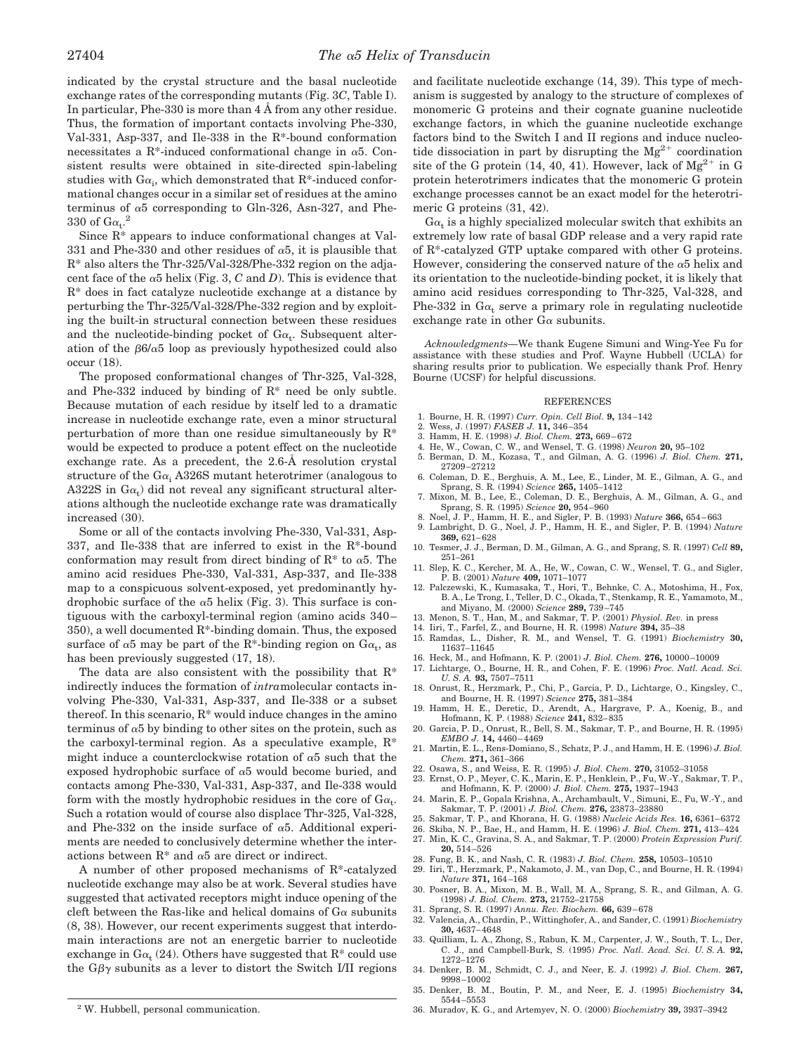indicated by the crystal structure and the basal nucleotide exchange rates of the corresponding mutants (Fig. 3*C*, Table I). In particular, Phe-330 is more than 4 Å from any other residue. Thus, the formation of important contacts involving Phe-330, Val-331, Asp-337, and Ile-338 in the R\*-bound conformation necessitates a R<sup>\*</sup>-induced conformational change in  $\alpha$ 5. Consistent results were obtained in site-directed spin-labeling studies with  $Ga_i$ , which demonstrated that  $R^*$ -induced conformational changes occur in a similar set of residues at the amino terminus of  $\alpha$ 5 corresponding to Gln-326, Asn-327, and Phe-330 of  $Ga_t$ .<sup>2</sup>

Since R\* appears to induce conformational changes at Val-331 and Phe-330 and other residues of  $\alpha$ 5, it is plausible that R\* also alters the Thr-325/Val-328/Phe-332 region on the adjacent face of the  $\alpha$ 5 helix (Fig. 3, *C* and *D*). This is evidence that R\* does in fact catalyze nucleotide exchange at a distance by perturbing the Thr-325/Val-328/Phe-332 region and by exploiting the built-in structural connection between these residues and the nucleotide-binding pocket of  $Ga_t$ . Subsequent alteration of the  $\beta 6/\alpha 5$  loop as previously hypothesized could also occur (18).

The proposed conformational changes of Thr-325, Val-328, and Phe-332 induced by binding of  $\mathbb{R}^*$  need be only subtle. Because mutation of each residue by itself led to a dramatic increase in nucleotide exchange rate, even a minor structural perturbation of more than one residue simultaneously by R\* would be expected to produce a potent effect on the nucleotide exchange rate. As a precedent, the 2.6-Å resolution crystal structure of the G $\alpha_i$  A326S mutant heterotrimer (analogous to A322S in  $Ga_t$ ) did not reveal any significant structural alterations although the nucleotide exchange rate was dramatically increased (30).

Some or all of the contacts involving Phe-330, Val-331, Asp-337, and Ile-338 that are inferred to exist in the R\*-bound conformation may result from direct binding of  $\mathbb{R}^*$  to  $\alpha$ 5. The amino acid residues Phe-330, Val-331, Asp-337, and Ile-338 map to a conspicuous solvent-exposed, yet predominantly hydrophobic surface of the  $\alpha$ 5 helix (Fig. 3). This surface is contiguous with the carboxyl-terminal region (amino acids 340–  $350$ , a well documented  $R^*$ -binding domain. Thus, the exposed surface of  $\alpha$ 5 may be part of the R\*-binding region on  $Ga_{t}$ , as has been previously suggested (17, 18).

The data are also consistent with the possibility that  $R^*$ indirectly induces the formation of *intra*molecular contacts involving Phe-330, Val-331, Asp-337, and Ile-338 or a subset thereof. In this scenario,  $R^*$  would induce changes in the amino terminus of  $\alpha$ 5 by binding to other sites on the protein, such as the carboxyl-terminal region. As a speculative example,  $R^*$ might induce a counterclockwise rotation of  $\alpha$ 5 such that the exposed hydrophobic surface of  $\alpha$ 5 would become buried, and contacts among Phe-330, Val-331, Asp-337, and Ile-338 would form with the mostly hydrophobic residues in the core of  $Ga_t$ . Such a rotation would of course also displace Thr-325, Val-328, and Phe-332 on the inside surface of  $\alpha$ 5. Additional experiments are needed to conclusively determine whether the interactions between  $\mathbb{R}^*$  and  $\alpha$ 5 are direct or indirect.

A number of other proposed mechanisms of R\*-catalyzed nucleotide exchange may also be at work. Several studies have suggested that activated receptors might induce opening of the cleft between the Ras-like and helical domains of  $G\alpha$  subunits (8, 38). However, our recent experiments suggest that interdomain interactions are not an energetic barrier to nucleotide exchange in G $\alpha_{\rm t}$  (24). Others have suggested that  ${\rm R}^*$  could use the  $G\beta\gamma$  subunits as a lever to distort the Switch I/II regions

and facilitate nucleotide exchange (14, 39). This type of mechanism is suggested by analogy to the structure of complexes of monomeric G proteins and their cognate guanine nucleotide exchange factors, in which the guanine nucleotide exchange factors bind to the Switch I and II regions and induce nucleotide dissociation in part by disrupting the  $Mg^{2+}$  coordination site of the G protein (14, 40, 41). However, lack of  $Mg^{2+}$  in G protein heterotrimers indicates that the monomeric G protein exchange processes cannot be an exact model for the heterotrimeric G proteins (31, 42).

 $\rm G\alpha_t$  is a highly specialized molecular switch that exhibits an extremely low rate of basal GDP release and a very rapid rate of R\*-catalyzed GTP uptake compared with other G proteins. However, considering the conserved nature of the  $\alpha$ 5 helix and its orientation to the nucleotide-binding pocket, it is likely that amino acid residues corresponding to Thr-325, Val-328, and Phe-332 in  $Ga_t$  serve a primary role in regulating nucleotide exchange rate in other  $G\alpha$  subunits.

*Acknowledgments—*We thank Eugene Simuni and Wing-Yee Fu for assistance with these studies and Prof. Wayne Hubbell (UCLA) for sharing results prior to publication. We especially thank Prof. Henry Bourne (UCSF) for helpful discussions.

### REFERENCES

- 1. Bourne, H. R. (1997) *Curr. Opin. Cell Biol.* **9,** 134–142
- 2. Wess, J. (1997) *FASEB J.* **11,** 346–354
- 3. Hamm, H. E. (1998) *J. Biol. Chem.* **273,** 669–672
- 4. He, W., Cowan, C. W., and Wensel, T. G. (1998) *Neuron* **20,** 95–102
- 5. Berman, D. M., Kozasa, T., and Gilman, A. G. (1996) *J. Biol. Chem.* **271,** 27209–27212
- 6. Coleman, D. E., Berghuis, A. M., Lee, E., Linder, M. E., Gilman, A. G., and Sprang, S. R. (1994) *Science* **265,** 1405–1412
- 7. Mixon, M. B., Lee, E., Coleman, D. E., Berghuis, A. M., Gilman, A. G., and Sprang, S. R. (1995) *Science* **20,** 954–960
- 8. Noel, J. P., Hamm, H. E., and Sigler, P. B. (1993) *Nature* **366,** 654–663
- 9. Lambright, D. G., Noel, J. P., Hamm, H. E., and Sigler, P. B. (1994) *Nature* **369,** 621–628
- 10. Tesmer, J. J., Berman, D. M., Gilman, A. G., and Sprang, S. R. (1997) *Cell* **89,** 251–261
- 11. Slep, K. C., Kercher, M. A., He, W., Cowan, C. W., Wensel, T. G., and Sigler, P. B. (2001) *Nature* **409,** 1071–1077
- 12. Palczewski, K., Kumasaka, T., Hori, T., Behnke, C. A., Motoshima, H., Fox, B. A., Le Trong, I., Teller, D. C., Okada, T., Stenkamp, R. E., Yamamoto, M., and Miyano, M. (2000) *Science* **289,** 739–745
- 13. Menon, S. T., Han, M., and Sakmar, T. P. (2001) *Physiol. Rev.* in press
- 14. Iiri, T., Farfel, Z., and Bourne, H. R. (1998) *Nature* **394,** 35–38
- 15. Ramdas, L., Disher, R. M., and Wensel, T. G. (1991) *Biochemistry* **30,** 11637–11645
- 16. Heck, M., and Hofmann, K. P. (2001) *J. Biol. Chem.* **276,** 10000–10009 17. Lichtarge, O., Bourne, H. R., and Cohen, F. E. (1996) *Proc. Natl. Acad. Sci.*
- *U. S. A.* **93,** 7507–7511
- 18. Onrust, R., Herzmark, P., Chi, P., Garcia, P. D., Lichtarge, O., Kingsley, C., and Bourne, H. R. (1997) *Science* **275,** 381–384
- 19. Hamm, H. E., Deretic, D., Arendt, A., Hargrave, P. A., Koenig, B., and Hofmann, K. P. (1988) *Science* **241,** 832–835
- 20. Garcia, P. D., Onrust, R., Bell, S. M., Sakmar, T. P., and Bourne, H. R. (1995) *EMBO J.* **14,** 4460–4469
- 21. Martin, E. L., Rens-Domiano, S., Schatz, P. J., and Hamm, H. E. (1996) *J. Biol. Chem.* **271,** 361–366
- 22. Osawa, S., and Weiss, E. R. (1995) *J. Biol. Chem.* **270,** 31052–31058 23. Ernst, O. P., Meyer, C. K., Marin, E. P., Henklein, P., Fu, W.-Y., Sakmar, T. P.,
- and Hofmann, K. P. (2000) *J. Biol. Chem.* **275,** 1937–1943
- 24. Marin, E. P., Gopala Krishna, A., Archambault, V., Simuni, E., Fu, W.-Y., and Sakmar, T. P. (2001) *J. Biol. Chem.* **276,** 23873–23880
- 25. Sakmar, T. P., and Khorana, H. G. (1988) *Nucleic Acids Res.* **16,** 6361–6372
- 26. Skiba, N. P., Bae, H., and Hamm, H. E. (1996) *J. Biol. Chem.* **271,** 413–424
- 27. Min, K. C., Gravina, S. A., and Sakmar, T. P. (2000) *Protein Expression Purif.* **20,** 514–526
- 28. Fung, B. K., and Nash, C. R. (1983) *J. Biol. Chem.* **258,** 10503–10510 29. Iiri, T., Herzmark, P., Nakamoto, J. M., van Dop, C., and Bourne, H. R. (1994)
- *Nature* **371,** 164–168
- 30. Posner, B. A., Mixon, M. B., Wall, M. A., Sprang, S. R., and Gilman, A. G. (1998) *J. Biol. Chem.* **273,** 21752–21758
- 31. Sprang, S. R. (1997) *Annu. Rev. Biochem.* **66,** 639–678
- 32. Valencia, A., Chardin, P., Wittinghofer, A., and Sander, C. (1991) *Biochemistry* **30,** 4637–4648
- 33. Quilliam, L. A., Zhong, S., Rabun, K. M., Carpenter, J. W., South, T. L., Der, C. J., and Campbell-Burk, S. (1995) *Proc. Natl. Acad. Sci. U. S. A.* **92,** 1272–1276
- 34. Denker, B. M., Schmidt, C. J., and Neer, E. J. (1992) *J. Biol. Chem.* **267,** 9998–10002
- 35. Denker, B. M., Boutin, P. M., and Neer, E. J. (1995) *Biochemistry* **34,** 5544–5553
- 36. Muradov, K. G., and Artemyev, N. O. (2000) *Biochemistry* **39,** 3937–3942 <sup>2</sup> W. Hubbell, personal communication.